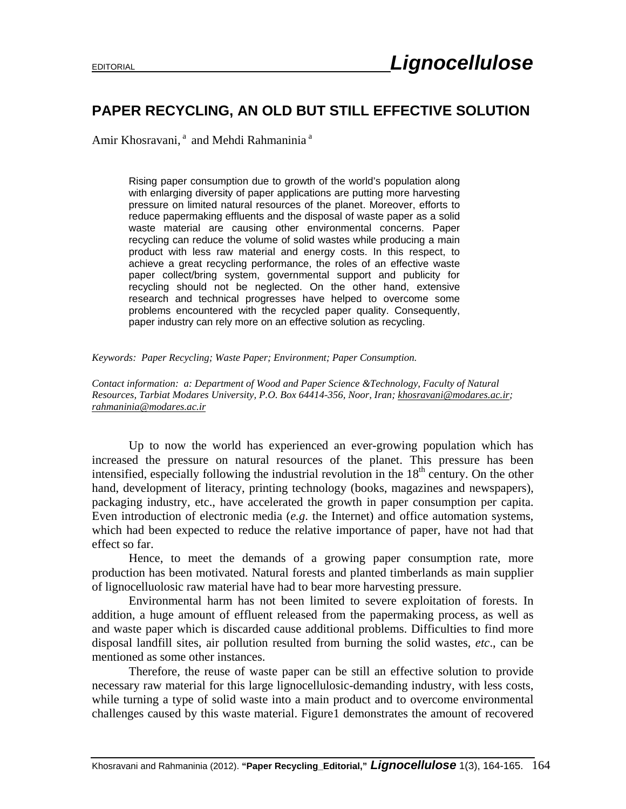## **PAPER RECYCLING, AN OLD BUT STILL EFFECTIVE SOLUTION**

Amir Khosravani,<sup>a</sup> and Mehdi Rahmaninia<sup>a</sup>

Rising paper consumption due to growth of the world's population along with enlarging diversity of paper applications are putting more harvesting pressure on limited natural resources of the planet. Moreover, efforts to reduce papermaking effluents and the disposal of waste paper as a solid waste material are causing other environmental concerns. Paper recycling can reduce the volume of solid wastes while producing a main product with less raw material and energy costs. In this respect, to achieve a great recycling performance, the roles of an effective waste paper collect/bring system, governmental support and publicity for recycling should not be neglected. On the other hand, extensive research and technical progresses have helped to overcome some problems encountered with the recycled paper quality. Consequently, paper industry can rely more on an effective solution as recycling.

*Keywords: Paper Recycling; Waste Paper; Environment; Paper Consumption.* 

*Contact information: a: Department of Wood and Paper Science &Technology, Faculty of Natural Resources, Tarbiat Modares University, P.O. Box 64414-356, Noor, Iran; khosravani@modares.ac.ir; rahmaninia@modares.ac.ir* 

Up to now the world has experienced an ever-growing population which has increased the pressure on natural resources of the planet. This pressure has been intensified, especially following the industrial revolution in the  $18<sup>th</sup>$  century. On the other hand, development of literacy, printing technology (books, magazines and newspapers), packaging industry, etc., have accelerated the growth in paper consumption per capita. Even introduction of electronic media (*e.g*. the Internet) and office automation systems, which had been expected to reduce the relative importance of paper, have not had that effect so far.

Hence, to meet the demands of a growing paper consumption rate, more production has been motivated. Natural forests and planted timberlands as main supplier of lignocelluolosic raw material have had to bear more harvesting pressure.

Environmental harm has not been limited to severe exploitation of forests. In addition, a huge amount of effluent released from the papermaking process, as well as and waste paper which is discarded cause additional problems. Difficulties to find more disposal landfill sites, air pollution resulted from burning the solid wastes, *etc*., can be mentioned as some other instances.

Therefore, the reuse of waste paper can be still an effective solution to provide necessary raw material for this large lignocellulosic-demanding industry, with less costs, while turning a type of solid waste into a main product and to overcome environmental challenges caused by this waste material. Figure1 demonstrates the amount of recovered